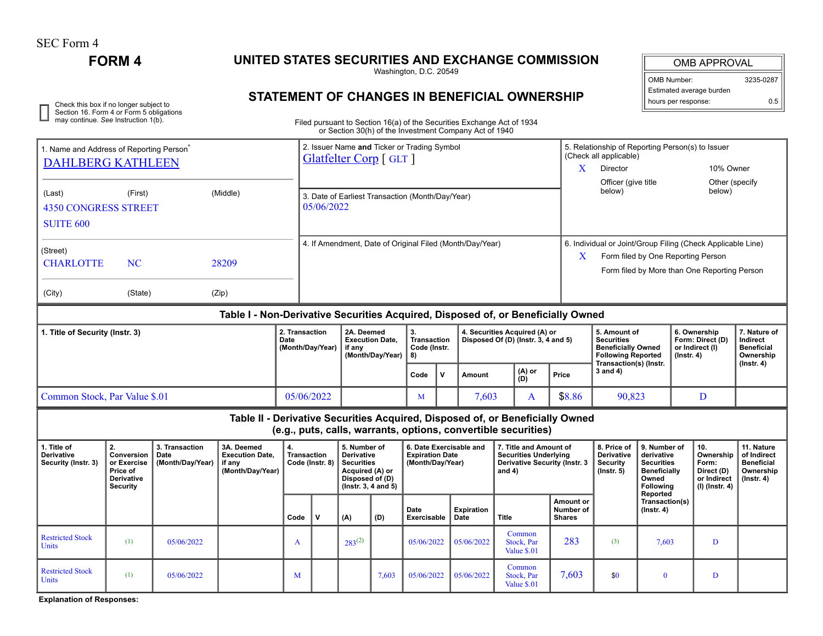SEC Form 4

 $\Box$ 

## **FORM 4 UNITED STATES SECURITIES AND EXCHANGE COMMISSION**

Washington, D.C. 20549

## **STATEMENT OF CHANGES IN BENEFICIAL OWNERSHIP**

OMB APPROVAL

| <b>OMB Number:</b>       | 3235-0287 |
|--------------------------|-----------|
| Estimated average burden |           |
| hours per response:      | 0.5       |

Check this box if no longer subject to<br>Section 16. Form 4 or Form 5 obligations **CHALLICATE:** OF CHECK TO THE CHECK TOTAL CONTRENSERT TO THE TOWER OUT<br>may continue. See Instruction 1(b). Filed pursuant to Section 16(a) of

Filed pursuant to Section 16(a) of the Securities Exchange Act of 1934 or Section 30(h) of the Investment Company Act of 1940

|                                                                                                                                                                            |                               |                                                                                                                                 |                                                                               |                          |                                                                      |                                                          |                                  |                                                        |                                     | or Section So(ii) or the investment Company Act or 1940        |              |                                     |                                |                                                                            |                                    |                                    |                                     |                               |  |  |  |
|----------------------------------------------------------------------------------------------------------------------------------------------------------------------------|-------------------------------|---------------------------------------------------------------------------------------------------------------------------------|-------------------------------------------------------------------------------|--------------------------|----------------------------------------------------------------------|----------------------------------------------------------|----------------------------------|--------------------------------------------------------|-------------------------------------|----------------------------------------------------------------|--------------|-------------------------------------|--------------------------------|----------------------------------------------------------------------------|------------------------------------|------------------------------------|-------------------------------------|-------------------------------|--|--|--|
| 1. Name and Address of Reporting Person<br><b>DAHLBERG KATHLEEN</b>                                                                                                        |                               |                                                                                                                                 |                                                                               |                          | 2. Issuer Name and Ticker or Trading Symbol<br>Glatfelter Corp [GLT] |                                                          |                                  |                                                        |                                     |                                                                |              |                                     |                                | 5. Relationship of Reporting Person(s) to Issuer<br>(Check all applicable) |                                    |                                    |                                     |                               |  |  |  |
|                                                                                                                                                                            |                               |                                                                                                                                 |                                                                               |                          |                                                                      |                                                          |                                  |                                                        |                                     |                                                                |              |                                     | X                              | Director                                                                   |                                    | 10% Owner                          |                                     |                               |  |  |  |
|                                                                                                                                                                            |                               |                                                                                                                                 |                                                                               |                          |                                                                      |                                                          |                                  |                                                        |                                     |                                                                |              |                                     |                                | Officer (give title                                                        |                                    |                                    | Other (specify                      |                               |  |  |  |
| (Last)                                                                                                                                                                     | (First)                       |                                                                                                                                 | 3. Date of Earliest Transaction (Month/Day/Year)                              |                          |                                                                      |                                                          |                                  |                                                        |                                     |                                                                |              | below)                              |                                |                                                                            | below)                             |                                    |                                     |                               |  |  |  |
| <b>4350 CONGRESS STREET</b>                                                                                                                                                |                               |                                                                                                                                 |                                                                               |                          | 05/06/2022                                                           |                                                          |                                  |                                                        |                                     |                                                                |              |                                     |                                |                                                                            |                                    |                                    |                                     |                               |  |  |  |
| <b>SUITE 600</b>                                                                                                                                                           |                               |                                                                                                                                 |                                                                               |                          |                                                                      |                                                          |                                  |                                                        |                                     |                                                                |              |                                     |                                |                                                                            |                                    |                                    |                                     |                               |  |  |  |
|                                                                                                                                                                            |                               |                                                                                                                                 |                                                                               |                          |                                                                      |                                                          |                                  |                                                        |                                     |                                                                |              |                                     |                                |                                                                            |                                    |                                    |                                     |                               |  |  |  |
| (Street)                                                                                                                                                                   |                               |                                                                                                                                 |                                                                               |                          |                                                                      | 4. If Amendment, Date of Original Filed (Month/Day/Year) |                                  |                                                        |                                     |                                                                |              |                                     |                                | 6. Individual or Joint/Group Filing (Check Applicable Line)                |                                    |                                    |                                     |                               |  |  |  |
| <b>CHARLOTTE</b><br><b>NC</b><br>28209                                                                                                                                     |                               |                                                                                                                                 |                                                                               |                          |                                                                      |                                                          |                                  |                                                        |                                     |                                                                |              |                                     | X                              |                                                                            |                                    | Form filed by One Reporting Person |                                     |                               |  |  |  |
|                                                                                                                                                                            |                               |                                                                                                                                 |                                                                               |                          |                                                                      |                                                          |                                  |                                                        |                                     |                                                                |              |                                     |                                | Form filed by More than One Reporting Person                               |                                    |                                    |                                     |                               |  |  |  |
|                                                                                                                                                                            |                               |                                                                                                                                 |                                                                               |                          |                                                                      |                                                          |                                  |                                                        |                                     |                                                                |              |                                     |                                |                                                                            |                                    |                                    |                                     |                               |  |  |  |
| (City)                                                                                                                                                                     | (State)                       |                                                                                                                                 | (Zip)                                                                         |                          |                                                                      |                                                          |                                  |                                                        |                                     |                                                                |              |                                     |                                |                                                                            |                                    |                                    |                                     |                               |  |  |  |
| Table I - Non-Derivative Securities Acquired, Disposed of, or Beneficially Owned                                                                                           |                               |                                                                                                                                 |                                                                               |                          |                                                                      |                                                          |                                  |                                                        |                                     |                                                                |              |                                     |                                |                                                                            |                                    |                                    |                                     |                               |  |  |  |
| 1. Title of Security (Instr. 3)                                                                                                                                            |                               |                                                                                                                                 | 2. Transaction<br>2A. Deemed                                                  |                          |                                                                      | 3.<br>4. Securities Acquired (A) or                      |                                  |                                                        |                                     |                                                                | 5. Amount of |                                     |                                | 6. Ownership                                                               | 7. Nature of                       |                                    |                                     |                               |  |  |  |
| Date                                                                                                                                                                       |                               |                                                                                                                                 |                                                                               |                          | (Month/Day/Year)                                                     |                                                          | <b>Execution Date.</b><br>if any |                                                        | <b>Transaction</b><br>Code (Instr.  |                                                                |              | Disposed Of (D) (Instr. 3, 4 and 5) |                                | <b>Securities</b><br><b>Beneficially Owned</b>                             |                                    |                                    | Form: Direct (D)<br>or Indirect (I) | Indirect<br><b>Beneficial</b> |  |  |  |
|                                                                                                                                                                            |                               |                                                                                                                                 |                                                                               |                          | (Month/Day/Year)                                                     |                                                          |                                  | 8)                                                     |                                     |                                                                |              |                                     | <b>Following Reported</b>      |                                                                            | $($ lnstr. 4 $)$                   |                                    | Ownership                           |                               |  |  |  |
|                                                                                                                                                                            |                               |                                                                                                                                 |                                                                               |                          |                                                                      |                                                          |                                  | Code                                                   | $\mathbf v$                         | <b>Amount</b>                                                  |              | (A) or<br>(D)                       | Price                          | Transaction(s) (Instr.<br>$3$ and $4)$                                     |                                    |                                    |                                     | $($ lnstr. 4 $)$              |  |  |  |
|                                                                                                                                                                            |                               |                                                                                                                                 |                                                                               |                          |                                                                      |                                                          |                                  |                                                        |                                     |                                                                |              |                                     |                                |                                                                            |                                    |                                    |                                     |                               |  |  |  |
| Common Stock, Par Value \$.01                                                                                                                                              |                               |                                                                                                                                 |                                                                               |                          | 05/06/2022                                                           |                                                          |                                  | M                                                      |                                     | 7,603<br>$\mathbf{A}$                                          |              | \$8.86                              |                                | 90,823                                                                     |                                    | D                                  |                                     |                               |  |  |  |
|                                                                                                                                                                            |                               |                                                                                                                                 | Table II - Derivative Securities Acquired, Disposed of, or Beneficially Owned |                          |                                                                      |                                                          |                                  |                                                        |                                     |                                                                |              |                                     |                                |                                                                            |                                    |                                    |                                     |                               |  |  |  |
|                                                                                                                                                                            |                               |                                                                                                                                 |                                                                               |                          |                                                                      |                                                          |                                  |                                                        |                                     | (e.g., puts, calls, warrants, options, convertible securities) |              |                                     |                                |                                                                            |                                    |                                    |                                     |                               |  |  |  |
| 2.<br>3. Transaction<br>3A. Deemed<br>5. Number of<br>6. Date Exercisable and<br>7. Title and Amount of<br>8. Price of<br>9. Number of<br>10.<br>11. Nature<br>1. Title of |                               |                                                                                                                                 |                                                                               |                          |                                                                      |                                                          |                                  |                                                        |                                     |                                                                |              |                                     |                                |                                                                            |                                    |                                    |                                     |                               |  |  |  |
| <b>Derivative</b>                                                                                                                                                          | Conversion                    | Date                                                                                                                            | <b>Execution Date,</b>                                                        | 4.<br><b>Transaction</b> |                                                                      | <b>Derivative</b>                                        |                                  | <b>Expiration Date</b><br><b>Securities Underlying</b> |                                     |                                                                |              |                                     | <b>Derivative</b>              | derivative                                                                 |                                    | Ownership                          | of Indirect                         |                               |  |  |  |
| Security (Instr. 3)                                                                                                                                                        |                               | <b>Securities</b><br><b>Derivative Security (Instr. 3</b><br>Code (Instr. 8)<br>(Month/Day/Year)<br>Acquired (A) or<br>and $4)$ |                                                                               |                          |                                                                      |                                                          |                                  |                                                        | <b>Security</b><br>$($ lnstr. 5 $)$ | <b>Securities</b><br><b>Beneficially</b>                       |              | Form:<br>Direct (D)                 | <b>Beneficial</b><br>Ownership |                                                                            |                                    |                                    |                                     |                               |  |  |  |
|                                                                                                                                                                            | Price of<br><b>Derivative</b> |                                                                                                                                 | (Month/Day/Year)                                                              |                          | Disposed of (D)                                                      |                                                          |                                  |                                                        |                                     |                                                                |              |                                     | Owned                          |                                                                            | or Indirect                        | $($ lnstr. 4 $)$                   |                                     |                               |  |  |  |
|                                                                                                                                                                            | <b>Security</b>               |                                                                                                                                 |                                                                               |                          |                                                                      | (Instr. 3, 4 and 5)                                      |                                  |                                                        |                                     |                                                                |              |                                     |                                |                                                                            | <b>Following</b><br>Reported       |                                    | $(I)$ (Instr. 4)                    |                               |  |  |  |
|                                                                                                                                                                            |                               |                                                                                                                                 |                                                                               |                          |                                                                      |                                                          |                                  | Date                                                   |                                     | <b>Expiration</b>                                              |              |                                     | Amount or<br><b>Number of</b>  |                                                                            | Transaction(s)<br>$($ lnstr. 4 $)$ |                                    |                                     |                               |  |  |  |
|                                                                                                                                                                            |                               |                                                                                                                                 |                                                                               | Code                     | v                                                                    | (A)                                                      | (D)                              | Exercisable                                            |                                     | Date                                                           | <b>Title</b> |                                     | <b>Shares</b>                  |                                                                            |                                    |                                    |                                     |                               |  |  |  |
|                                                                                                                                                                            |                               |                                                                                                                                 |                                                                               |                          |                                                                      |                                                          |                                  |                                                        |                                     |                                                                |              | Common                              |                                |                                                                            |                                    |                                    |                                     |                               |  |  |  |
| <b>Restricted Stock</b><br><b>Units</b>                                                                                                                                    | (1)                           | 05/06/2022                                                                                                                      |                                                                               | A                        |                                                                      | $283^{(2)}$                                              |                                  | 05/06/2022                                             |                                     | 05/06/2022                                                     |              | Stock, Par                          | 283                            | (3)                                                                        | 7,603                              |                                    | D                                   |                               |  |  |  |
|                                                                                                                                                                            |                               |                                                                                                                                 |                                                                               |                          |                                                                      |                                                          |                                  |                                                        |                                     |                                                                |              | Value \$.01                         |                                |                                                                            |                                    |                                    |                                     |                               |  |  |  |
| <b>Restricted Stock</b>                                                                                                                                                    | (1)                           |                                                                                                                                 |                                                                               |                          |                                                                      |                                                          |                                  |                                                        |                                     |                                                                |              | Common                              | 7,603                          |                                                                            |                                    |                                    |                                     |                               |  |  |  |
| <b>Units</b>                                                                                                                                                               |                               | 05/06/2022                                                                                                                      |                                                                               | M                        |                                                                      |                                                          | 7,603                            | 05/06/2022                                             |                                     | 05/06/2022                                                     |              | Stock, Par<br>Value \$.01           |                                | \$0                                                                        | $\bf{0}$                           |                                    | D                                   |                               |  |  |  |
|                                                                                                                                                                            |                               |                                                                                                                                 |                                                                               |                          |                                                                      |                                                          |                                  |                                                        |                                     |                                                                |              |                                     |                                |                                                                            |                                    |                                    |                                     |                               |  |  |  |

**Explanation of Responses:**